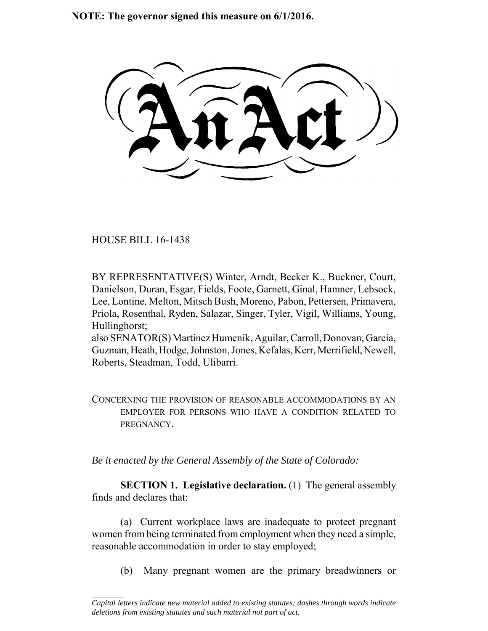**NOTE: The governor signed this measure on 6/1/2016.**

HOUSE BILL 16-1438

 $\frac{1}{2}$ 

BY REPRESENTATIVE(S) Winter, Arndt, Becker K., Buckner, Court, Danielson, Duran, Esgar, Fields, Foote, Garnett, Ginal, Hamner, Lebsock, Lee, Lontine, Melton, Mitsch Bush, Moreno, Pabon, Pettersen, Primavera, Priola, Rosenthal, Ryden, Salazar, Singer, Tyler, Vigil, Williams, Young, Hullinghorst;

also SENATOR(S) Martinez Humenik, Aguilar, Carroll, Donovan, Garcia, Guzman, Heath, Hodge, Johnston, Jones, Kefalas, Kerr, Merrifield, Newell, Roberts, Steadman, Todd, Ulibarri.

CONCERNING THE PROVISION OF REASONABLE ACCOMMODATIONS BY AN EMPLOYER FOR PERSONS WHO HAVE A CONDITION RELATED TO PREGNANCY.

*Be it enacted by the General Assembly of the State of Colorado:*

**SECTION 1. Legislative declaration.** (1) The general assembly finds and declares that:

(a) Current workplace laws are inadequate to protect pregnant women from being terminated from employment when they need a simple, reasonable accommodation in order to stay employed;

(b) Many pregnant women are the primary breadwinners or

*Capital letters indicate new material added to existing statutes; dashes through words indicate deletions from existing statutes and such material not part of act.*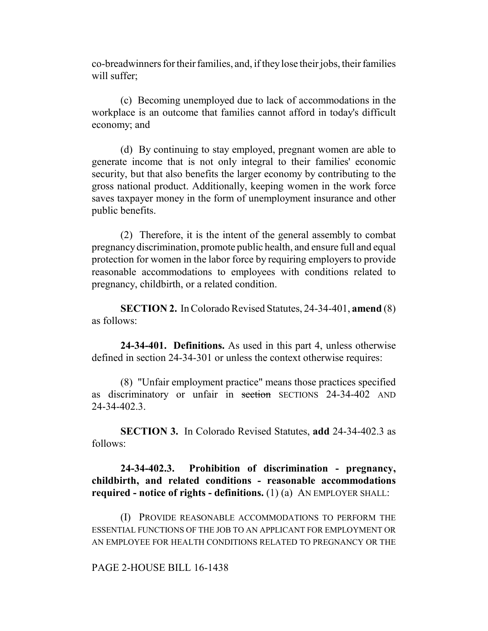co-breadwinners for their families, and, if they lose their jobs, their families will suffer:

(c) Becoming unemployed due to lack of accommodations in the workplace is an outcome that families cannot afford in today's difficult economy; and

(d) By continuing to stay employed, pregnant women are able to generate income that is not only integral to their families' economic security, but that also benefits the larger economy by contributing to the gross national product. Additionally, keeping women in the work force saves taxpayer money in the form of unemployment insurance and other public benefits.

(2) Therefore, it is the intent of the general assembly to combat pregnancy discrimination, promote public health, and ensure full and equal protection for women in the labor force by requiring employers to provide reasonable accommodations to employees with conditions related to pregnancy, childbirth, or a related condition.

**SECTION 2.** In Colorado Revised Statutes, 24-34-401, **amend** (8) as follows:

**24-34-401. Definitions.** As used in this part 4, unless otherwise defined in section 24-34-301 or unless the context otherwise requires:

(8) "Unfair employment practice" means those practices specified as discriminatory or unfair in section SECTIONS 24-34-402 AND 24-34-402.3.

**SECTION 3.** In Colorado Revised Statutes, **add** 24-34-402.3 as follows:

**24-34-402.3. Prohibition of discrimination - pregnancy, childbirth, and related conditions - reasonable accommodations required - notice of rights - definitions.** (1) (a) AN EMPLOYER SHALL:

(I) PROVIDE REASONABLE ACCOMMODATIONS TO PERFORM THE ESSENTIAL FUNCTIONS OF THE JOB TO AN APPLICANT FOR EMPLOYMENT OR AN EMPLOYEE FOR HEALTH CONDITIONS RELATED TO PREGNANCY OR THE

## PAGE 2-HOUSE BILL 16-1438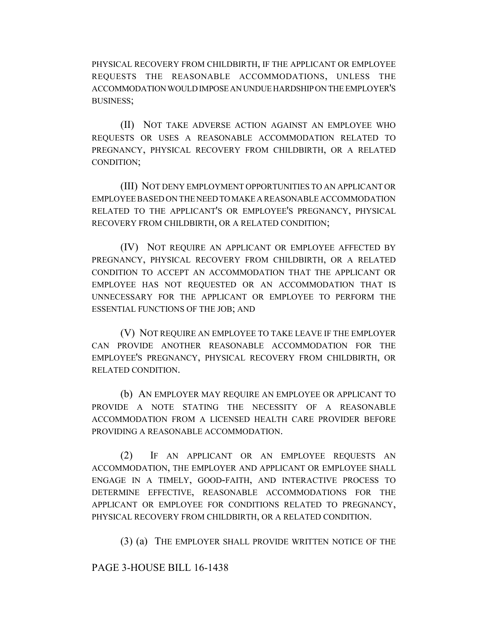PHYSICAL RECOVERY FROM CHILDBIRTH, IF THE APPLICANT OR EMPLOYEE REQUESTS THE REASONABLE ACCOMMODATIONS, UNLESS THE ACCOMMODATION WOULD IMPOSE AN UNDUE HARDSHIP ON THE EMPLOYER'S BUSINESS;

(II) NOT TAKE ADVERSE ACTION AGAINST AN EMPLOYEE WHO REQUESTS OR USES A REASONABLE ACCOMMODATION RELATED TO PREGNANCY, PHYSICAL RECOVERY FROM CHILDBIRTH, OR A RELATED CONDITION;

(III) NOT DENY EMPLOYMENT OPPORTUNITIES TO AN APPLICANT OR EMPLOYEE BASED ON THE NEED TO MAKE A REASONABLE ACCOMMODATION RELATED TO THE APPLICANT'S OR EMPLOYEE'S PREGNANCY, PHYSICAL RECOVERY FROM CHILDBIRTH, OR A RELATED CONDITION;

(IV) NOT REQUIRE AN APPLICANT OR EMPLOYEE AFFECTED BY PREGNANCY, PHYSICAL RECOVERY FROM CHILDBIRTH, OR A RELATED CONDITION TO ACCEPT AN ACCOMMODATION THAT THE APPLICANT OR EMPLOYEE HAS NOT REQUESTED OR AN ACCOMMODATION THAT IS UNNECESSARY FOR THE APPLICANT OR EMPLOYEE TO PERFORM THE ESSENTIAL FUNCTIONS OF THE JOB; AND

(V) NOT REQUIRE AN EMPLOYEE TO TAKE LEAVE IF THE EMPLOYER CAN PROVIDE ANOTHER REASONABLE ACCOMMODATION FOR THE EMPLOYEE'S PREGNANCY, PHYSICAL RECOVERY FROM CHILDBIRTH, OR RELATED CONDITION.

(b) AN EMPLOYER MAY REQUIRE AN EMPLOYEE OR APPLICANT TO PROVIDE A NOTE STATING THE NECESSITY OF A REASONABLE ACCOMMODATION FROM A LICENSED HEALTH CARE PROVIDER BEFORE PROVIDING A REASONABLE ACCOMMODATION.

(2) IF AN APPLICANT OR AN EMPLOYEE REQUESTS AN ACCOMMODATION, THE EMPLOYER AND APPLICANT OR EMPLOYEE SHALL ENGAGE IN A TIMELY, GOOD-FAITH, AND INTERACTIVE PROCESS TO DETERMINE EFFECTIVE, REASONABLE ACCOMMODATIONS FOR THE APPLICANT OR EMPLOYEE FOR CONDITIONS RELATED TO PREGNANCY, PHYSICAL RECOVERY FROM CHILDBIRTH, OR A RELATED CONDITION.

(3) (a) THE EMPLOYER SHALL PROVIDE WRITTEN NOTICE OF THE

PAGE 3-HOUSE BILL 16-1438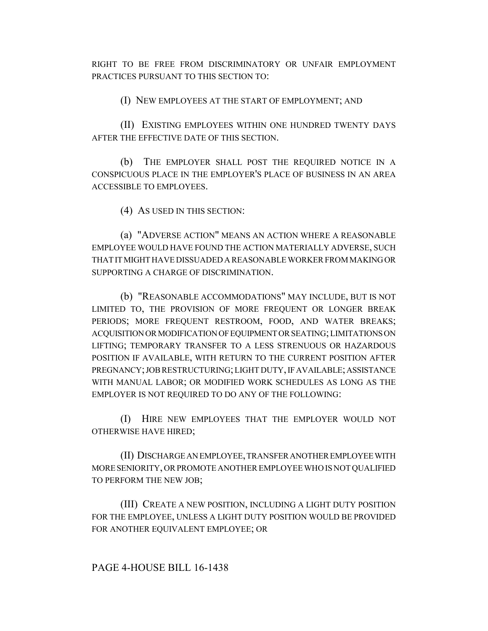RIGHT TO BE FREE FROM DISCRIMINATORY OR UNFAIR EMPLOYMENT PRACTICES PURSUANT TO THIS SECTION TO:

(I) NEW EMPLOYEES AT THE START OF EMPLOYMENT; AND

(II) EXISTING EMPLOYEES WITHIN ONE HUNDRED TWENTY DAYS AFTER THE EFFECTIVE DATE OF THIS SECTION.

(b) THE EMPLOYER SHALL POST THE REQUIRED NOTICE IN A CONSPICUOUS PLACE IN THE EMPLOYER'S PLACE OF BUSINESS IN AN AREA ACCESSIBLE TO EMPLOYEES.

(4) AS USED IN THIS SECTION:

(a) "ADVERSE ACTION" MEANS AN ACTION WHERE A REASONABLE EMPLOYEE WOULD HAVE FOUND THE ACTION MATERIALLY ADVERSE, SUCH THAT IT MIGHT HAVE DISSUADED A REASONABLE WORKER FROM MAKING OR SUPPORTING A CHARGE OF DISCRIMINATION.

(b) "REASONABLE ACCOMMODATIONS" MAY INCLUDE, BUT IS NOT LIMITED TO, THE PROVISION OF MORE FREQUENT OR LONGER BREAK PERIODS; MORE FREQUENT RESTROOM, FOOD, AND WATER BREAKS; ACQUISITION OR MODIFICATION OF EQUIPMENT OR SEATING; LIMITATIONS ON LIFTING; TEMPORARY TRANSFER TO A LESS STRENUOUS OR HAZARDOUS POSITION IF AVAILABLE, WITH RETURN TO THE CURRENT POSITION AFTER PREGNANCY; JOB RESTRUCTURING; LIGHT DUTY, IF AVAILABLE; ASSISTANCE WITH MANUAL LABOR; OR MODIFIED WORK SCHEDULES AS LONG AS THE EMPLOYER IS NOT REQUIRED TO DO ANY OF THE FOLLOWING:

(I) HIRE NEW EMPLOYEES THAT THE EMPLOYER WOULD NOT OTHERWISE HAVE HIRED;

(II) DISCHARGE AN EMPLOYEE, TRANSFER ANOTHER EMPLOYEE WITH MORE SENIORITY, OR PROMOTE ANOTHER EMPLOYEE WHO IS NOT QUALIFIED TO PERFORM THE NEW JOB;

(III) CREATE A NEW POSITION, INCLUDING A LIGHT DUTY POSITION FOR THE EMPLOYEE, UNLESS A LIGHT DUTY POSITION WOULD BE PROVIDED FOR ANOTHER EQUIVALENT EMPLOYEE; OR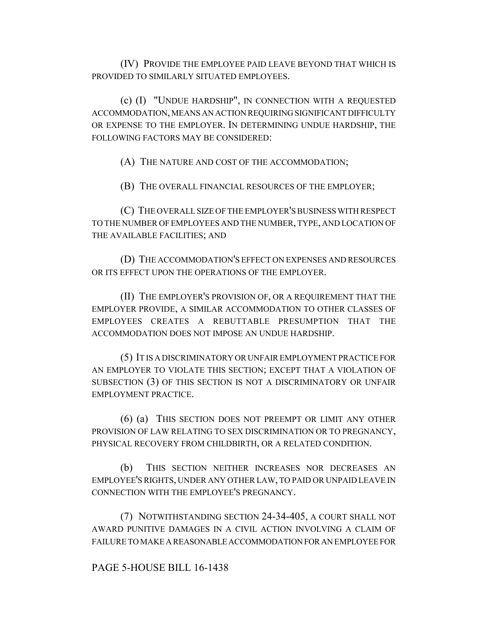(IV) PROVIDE THE EMPLOYEE PAID LEAVE BEYOND THAT WHICH IS PROVIDED TO SIMILARLY SITUATED EMPLOYEES.

(c) (I) "UNDUE HARDSHIP", IN CONNECTION WITH A REQUESTED ACCOMMODATION, MEANS AN ACTION REQUIRING SIGNIFICANT DIFFICULTY OR EXPENSE TO THE EMPLOYER. IN DETERMINING UNDUE HARDSHIP, THE FOLLOWING FACTORS MAY BE CONSIDERED:

(A) THE NATURE AND COST OF THE ACCOMMODATION;

(B) THE OVERALL FINANCIAL RESOURCES OF THE EMPLOYER;

(C) THE OVERALL SIZE OF THE EMPLOYER'S BUSINESS WITH RESPECT TO THE NUMBER OF EMPLOYEES AND THE NUMBER, TYPE, AND LOCATION OF THE AVAILABLE FACILITIES; AND

(D) THE ACCOMMODATION'S EFFECT ON EXPENSES AND RESOURCES OR ITS EFFECT UPON THE OPERATIONS OF THE EMPLOYER.

(II) THE EMPLOYER'S PROVISION OF, OR A REQUIREMENT THAT THE EMPLOYER PROVIDE, A SIMILAR ACCOMMODATION TO OTHER CLASSES OF EMPLOYEES CREATES A REBUTTABLE PRESUMPTION THAT THE ACCOMMODATION DOES NOT IMPOSE AN UNDUE HARDSHIP.

(5) IT IS A DISCRIMINATORY OR UNFAIR EMPLOYMENT PRACTICE FOR AN EMPLOYER TO VIOLATE THIS SECTION; EXCEPT THAT A VIOLATION OF SUBSECTION (3) OF THIS SECTION IS NOT A DISCRIMINATORY OR UNFAIR EMPLOYMENT PRACTICE.

(6) (a) THIS SECTION DOES NOT PREEMPT OR LIMIT ANY OTHER PROVISION OF LAW RELATING TO SEX DISCRIMINATION OR TO PREGNANCY, PHYSICAL RECOVERY FROM CHILDBIRTH, OR A RELATED CONDITION.

(b) THIS SECTION NEITHER INCREASES NOR DECREASES AN EMPLOYEE'S RIGHTS, UNDER ANY OTHER LAW, TO PAID OR UNPAID LEAVE IN CONNECTION WITH THE EMPLOYEE'S PREGNANCY.

(7) NOTWITHSTANDING SECTION 24-34-405, A COURT SHALL NOT AWARD PUNITIVE DAMAGES IN A CIVIL ACTION INVOLVING A CLAIM OF FAILURE TO MAKE A REASONABLE ACCOMMODATION FOR AN EMPLOYEE FOR

## PAGE 5-HOUSE BILL 16-1438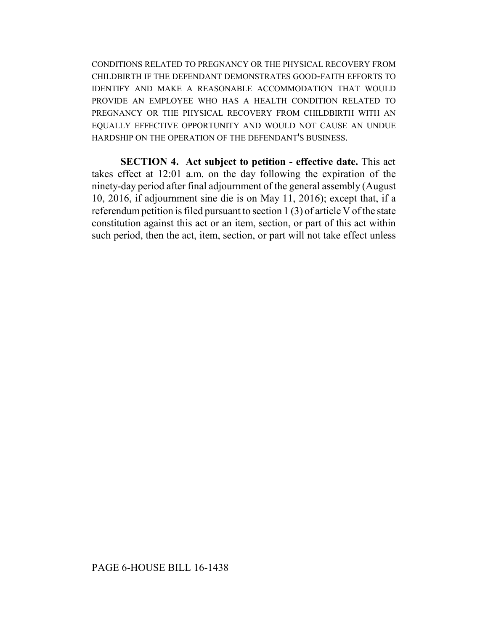CONDITIONS RELATED TO PREGNANCY OR THE PHYSICAL RECOVERY FROM CHILDBIRTH IF THE DEFENDANT DEMONSTRATES GOOD-FAITH EFFORTS TO IDENTIFY AND MAKE A REASONABLE ACCOMMODATION THAT WOULD PROVIDE AN EMPLOYEE WHO HAS A HEALTH CONDITION RELATED TO PREGNANCY OR THE PHYSICAL RECOVERY FROM CHILDBIRTH WITH AN EQUALLY EFFECTIVE OPPORTUNITY AND WOULD NOT CAUSE AN UNDUE HARDSHIP ON THE OPERATION OF THE DEFENDANT'S BUSINESS.

**SECTION 4. Act subject to petition - effective date.** This act takes effect at 12:01 a.m. on the day following the expiration of the ninety-day period after final adjournment of the general assembly (August 10, 2016, if adjournment sine die is on May 11, 2016); except that, if a referendum petition is filed pursuant to section 1 (3) of article V of the state constitution against this act or an item, section, or part of this act within such period, then the act, item, section, or part will not take effect unless